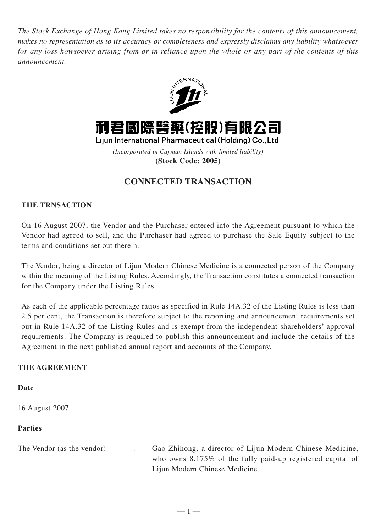*The Stock Exchange of Hong Kong Limited takes no responsibility for the contents of this announcement, makes no representation as to its accuracy or completeness and expressly disclaims any liability whatsoever for any loss howsoever arising from or in reliance upon the whole or any part of the contents of this announcement.*



利君國際醫藥(控股)有限公司

Lijun International Pharmaceutical (Holding) Co., Ltd.

*(Incorporated in Cayman Islands with limited liability)*

**(Stock Code: 2005)**

# **CONNECTED TRANSACTION**

### **THE TRNSACTION**

On 16 August 2007, the Vendor and the Purchaser entered into the Agreement pursuant to which the Vendor had agreed to sell, and the Purchaser had agreed to purchase the Sale Equity subject to the terms and conditions set out therein.

The Vendor, being a director of Lijun Modern Chinese Medicine is a connected person of the Company within the meaning of the Listing Rules. Accordingly, the Transaction constitutes a connected transaction for the Company under the Listing Rules.

As each of the applicable percentage ratios as specified in Rule 14A.32 of the Listing Rules is less than 2.5 per cent, the Transaction is therefore subject to the reporting and announcement requirements set out in Rule 14A.32 of the Listing Rules and is exempt from the independent shareholders' approval requirements. The Company is required to publish this announcement and include the details of the Agreement in the next published annual report and accounts of the Company.

#### **THE AGREEMENT**

#### **Date**

16 August 2007

#### **Parties**

| The Vendor (as the vendor) | Gao Zhihong, a director of Lijun Modern Chinese Medicine,     |
|----------------------------|---------------------------------------------------------------|
|                            | who owns $8.175\%$ of the fully paid-up registered capital of |
|                            | Lijun Modern Chinese Medicine                                 |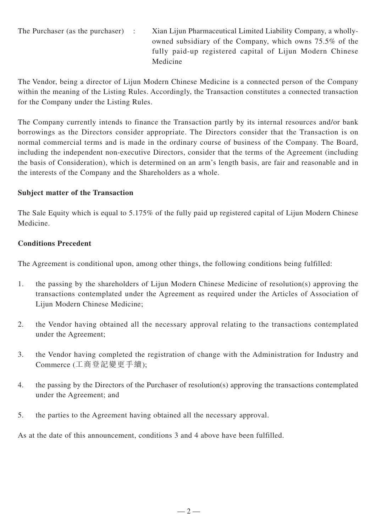The Purchaser (as the purchaser) : Xian Lijun Pharmaceutical Limited Liability Company, a whollyowned subsidiary of the Company, which owns 75.5% of the fully paid-up registered capital of Lijun Modern Chinese Medicine

The Vendor, being a director of Lijun Modern Chinese Medicine is a connected person of the Company within the meaning of the Listing Rules. Accordingly, the Transaction constitutes a connected transaction for the Company under the Listing Rules.

The Company currently intends to finance the Transaction partly by its internal resources and/or bank borrowings as the Directors consider appropriate. The Directors consider that the Transaction is on normal commercial terms and is made in the ordinary course of business of the Company. The Board, including the independent non-executive Directors, consider that the terms of the Agreement (including the basis of Consideration), which is determined on an arm's length basis, are fair and reasonable and in the interests of the Company and the Shareholders as a whole.

### **Subject matter of the Transaction**

The Sale Equity which is equal to 5.175% of the fully paid up registered capital of Lijun Modern Chinese Medicine.

### **Conditions Precedent**

The Agreement is conditional upon, among other things, the following conditions being fulfilled:

- 1. the passing by the shareholders of Lijun Modern Chinese Medicine of resolution(s) approving the transactions contemplated under the Agreement as required under the Articles of Association of Lijun Modern Chinese Medicine;
- 2. the Vendor having obtained all the necessary approval relating to the transactions contemplated under the Agreement;
- 3. the Vendor having completed the registration of change with the Administration for Industry and Commerce (工商登記變更手續);
- 4. the passing by the Directors of the Purchaser of resolution(s) approving the transactions contemplated under the Agreement; and
- 5. the parties to the Agreement having obtained all the necessary approval.

As at the date of this announcement, conditions 3 and 4 above have been fulfilled.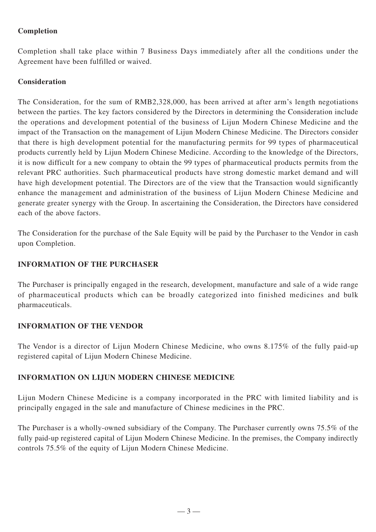## **Completion**

Completion shall take place within 7 Business Days immediately after all the conditions under the Agreement have been fulfilled or waived.

### **Consideration**

The Consideration, for the sum of RMB2,328,000, has been arrived at after arm's length negotiations between the parties. The key factors considered by the Directors in determining the Consideration include the operations and development potential of the business of Lijun Modern Chinese Medicine and the impact of the Transaction on the management of Lijun Modern Chinese Medicine. The Directors consider that there is high development potential for the manufacturing permits for 99 types of pharmaceutical products currently held by Lijun Modern Chinese Medicine. According to the knowledge of the Directors, it is now difficult for a new company to obtain the 99 types of pharmaceutical products permits from the relevant PRC authorities. Such pharmaceutical products have strong domestic market demand and will have high development potential. The Directors are of the view that the Transaction would significantly enhance the management and administration of the business of Lijun Modern Chinese Medicine and generate greater synergy with the Group. In ascertaining the Consideration, the Directors have considered each of the above factors.

The Consideration for the purchase of the Sale Equity will be paid by the Purchaser to the Vendor in cash upon Completion.

# **INFORMATION OF THE PURCHASER**

The Purchaser is principally engaged in the research, development, manufacture and sale of a wide range of pharmaceutical products which can be broadly categorized into finished medicines and bulk pharmaceuticals.

# **INFORMATION OF THE VENDOR**

The Vendor is a director of Lijun Modern Chinese Medicine, who owns 8.175% of the fully paid-up registered capital of Lijun Modern Chinese Medicine.

### **INFORMATION ON LIJUN MODERN CHINESE MEDICINE**

Lijun Modern Chinese Medicine is a company incorporated in the PRC with limited liability and is principally engaged in the sale and manufacture of Chinese medicines in the PRC.

The Purchaser is a wholly-owned subsidiary of the Company. The Purchaser currently owns 75.5% of the fully paid-up registered capital of Lijun Modern Chinese Medicine. In the premises, the Company indirectly controls 75.5% of the equity of Lijun Modern Chinese Medicine.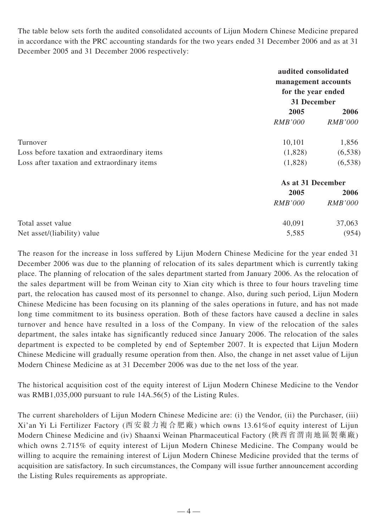The table below sets forth the audited consolidated accounts of Lijun Modern Chinese Medicine prepared in accordance with the PRC accounting standards for the two years ended 31 December 2006 and as at 31 December 2005 and 31 December 2006 respectively:

|                                              | audited consolidated<br>management accounts<br>for the year ended<br>31 December |                |
|----------------------------------------------|----------------------------------------------------------------------------------|----------------|
|                                              | 2005                                                                             | 2006           |
|                                              | <i>RMB'000</i>                                                                   | <b>RMB'000</b> |
| Turnover                                     | 10,101                                                                           | 1,856          |
| Loss before taxation and extraordinary items | (1,828)                                                                          | (6,538)        |
| Loss after taxation and extraordinary items  | (1,828)                                                                          | (6,538)        |
|                                              | As at 31 December                                                                |                |
|                                              | 2005                                                                             | 2006           |
|                                              | <b>RMB'000</b>                                                                   | <b>RMB'000</b> |
| Total asset value                            | 40,091                                                                           | 37,063         |
| Net asset/(liability) value                  | 5,585                                                                            | (954)          |

The reason for the increase in loss suffered by Lijun Modern Chinese Medicine for the year ended 31 December 2006 was due to the planning of relocation of its sales department which is currently taking place. The planning of relocation of the sales department started from January 2006. As the relocation of the sales department will be from Weinan city to Xian city which is three to four hours traveling time part, the relocation has caused most of its personnel to change. Also, during such period, Lijun Modern Chinese Medicine has been focusing on its planning of the sales operations in future, and has not made long time commitment to its business operation. Both of these factors have caused a decline in sales turnover and hence have resulted in a loss of the Company. In view of the relocation of the sales department, the sales intake has significantly reduced since January 2006. The relocation of the sales department is expected to be completed by end of September 2007. It is expected that Lijun Modern Chinese Medicine will gradually resume operation from then. Also, the change in net asset value of Lijun Modern Chinese Medicine as at 31 December 2006 was due to the net loss of the year.

The historical acquisition cost of the equity interest of Lijun Modern Chinese Medicine to the Vendor was RMB1,035,000 pursuant to rule 14A.56(5) of the Listing Rules.

The current shareholders of Lijun Modern Chinese Medicine are: (i) the Vendor, (ii) the Purchaser, (iii) Xi'an Yi Li Fertilizer Factory (西安毅力複合肥廠) which owns 13.61%of equity interest of Lijun Modern Chinese Medicine and (iv) Shaanxi Weinan Pharmaceutical Factory (陝西省渭南地區製藥廠) which owns 2.715% of equity interest of Lijun Modern Chinese Medicine. The Company would be willing to acquire the remaining interest of Lijun Modern Chinese Medicine provided that the terms of acquisition are satisfactory. In such circumstances, the Company will issue further announcement according the Listing Rules requirements as appropriate.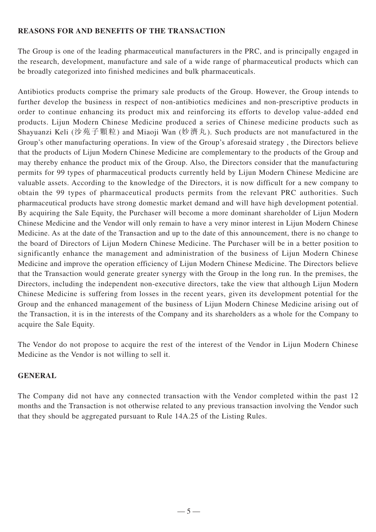#### **REASONS FOR AND BENEFITS OF THE TRANSACTION**

The Group is one of the leading pharmaceutical manufacturers in the PRC, and is principally engaged in the research, development, manufacture and sale of a wide range of pharmaceutical products which can be broadly categorized into finished medicines and bulk pharmaceuticals.

Antibiotics products comprise the primary sale products of the Group. However, the Group intends to further develop the business in respect of non-antibiotics medicines and non-prescriptive products in order to continue enhancing its product mix and reinforcing its efforts to develop value-added end products. Lijun Modern Chinese Medicine produced a series of Chinese medicine products such as Shayuanzi Keli (沙苑子顆粒) and Miaoji Wan (妙濟丸). Such products are not manufactured in the Group's other manufacturing operations. In view of the Group's aforesaid strategy , the Directors believe that the products of Lijun Modern Chinese Medicine are complementary to the products of the Group and may thereby enhance the product mix of the Group. Also, the Directors consider that the manufacturing permits for 99 types of pharmaceutical products currently held by Lijun Modern Chinese Medicine are valuable assets. According to the knowledge of the Directors, it is now difficult for a new company to obtain the 99 types of pharmaceutical products permits from the relevant PRC authorities. Such pharmaceutical products have strong domestic market demand and will have high development potential. By acquiring the Sale Equity, the Purchaser will become a more dominant shareholder of Lijun Modern Chinese Medicine and the Vendor will only remain to have a very minor interest in Lijun Modern Chinese Medicine. As at the date of the Transaction and up to the date of this announcement, there is no change to the board of Directors of Lijun Modern Chinese Medicine. The Purchaser will be in a better position to significantly enhance the management and administration of the business of Lijun Modern Chinese Medicine and improve the operation efficiency of Lijun Modern Chinese Medicine. The Directors believe that the Transaction would generate greater synergy with the Group in the long run. In the premises, the Directors, including the independent non-executive directors, take the view that although Lijun Modern Chinese Medicine is suffering from losses in the recent years, given its development potential for the Group and the enhanced management of the business of Lijun Modern Chinese Medicine arising out of the Transaction, it is in the interests of the Company and its shareholders as a whole for the Company to acquire the Sale Equity.

The Vendor do not propose to acquire the rest of the interest of the Vendor in Lijun Modern Chinese Medicine as the Vendor is not willing to sell it.

#### **GENERAL**

The Company did not have any connected transaction with the Vendor completed within the past 12 months and the Transaction is not otherwise related to any previous transaction involving the Vendor such that they should be aggregated pursuant to Rule 14A.25 of the Listing Rules.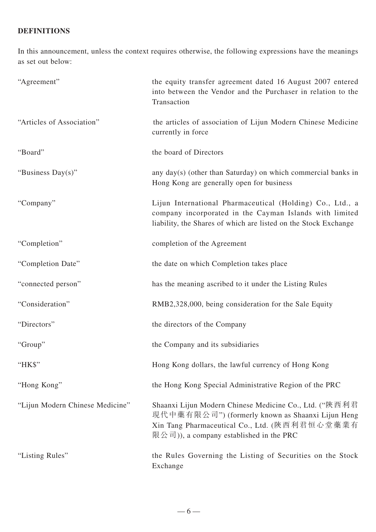# **DEFINITIONS**

In this announcement, unless the context requires otherwise, the following expressions have the meanings as set out below:

| "Agreement"                     | the equity transfer agreement dated 16 August 2007 entered<br>into between the Vendor and the Purchaser in relation to the<br>Transaction                                                              |
|---------------------------------|--------------------------------------------------------------------------------------------------------------------------------------------------------------------------------------------------------|
| "Articles of Association"       | the articles of association of Lijun Modern Chinese Medicine<br>currently in force                                                                                                                     |
| "Board"                         | the board of Directors                                                                                                                                                                                 |
| "Business Day(s)"               | any day(s) (other than Saturday) on which commercial banks in<br>Hong Kong are generally open for business                                                                                             |
| "Company"                       | Lijun International Pharmaceutical (Holding) Co., Ltd., a<br>company incorporated in the Cayman Islands with limited<br>liability, the Shares of which are listed on the Stock Exchange                |
| "Completion"                    | completion of the Agreement                                                                                                                                                                            |
| "Completion Date"               | the date on which Completion takes place                                                                                                                                                               |
| "connected person"              | has the meaning ascribed to it under the Listing Rules                                                                                                                                                 |
| "Consideration"                 | RMB2,328,000, being consideration for the Sale Equity                                                                                                                                                  |
| "Directors"                     | the directors of the Company                                                                                                                                                                           |
| "Group"                         | the Company and its subsidiaries                                                                                                                                                                       |
| "HK\$"                          | Hong Kong dollars, the lawful currency of Hong Kong                                                                                                                                                    |
| "Hong Kong"                     | the Hong Kong Special Administrative Region of the PRC                                                                                                                                                 |
| "Lijun Modern Chinese Medicine" | Shaanxi Lijun Modern Chinese Medicine Co., Ltd. ("陝西利君<br>現代中藥有限公司") (formerly known as Shaanxi Lijun Heng<br>Xin Tang Pharmaceutical Co., Ltd. (陝西利君恒心堂藥業有<br>限公司)), a company established in the PRC |
| "Listing Rules"                 | the Rules Governing the Listing of Securities on the Stock<br>Exchange                                                                                                                                 |